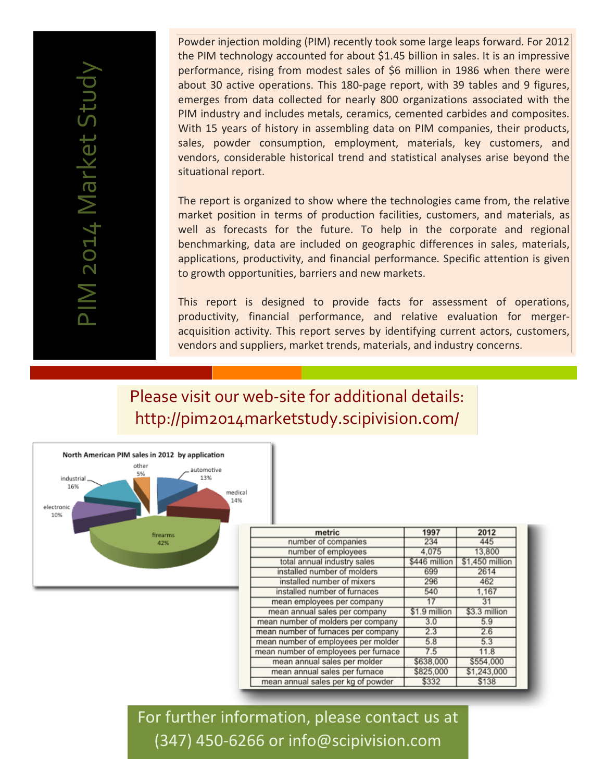Powder injection molding (PIM) recently took some large leaps forward. For 2012 the PIM technology accounted for about \$1.45 billion in sales. It is an impressive performance, rising from modest sales of \$6 million in 1986 when there were about 30 active operations. This 180-page report, with 39 tables and 9 figures, emerges from data collected for nearly 800 organizations associated with the PIM industry and includes metals, ceramics, cemented carbides and composites. With 15 years of history in assembling data on PIM companies, their products, sales, powder consumption, employment, materials, key customers, and vendors, considerable historical trend and statistical analyses arise beyond the situational report.

The report is organized to show where the technologies came from, the relative market position in terms of production facilities, customers, and materials, as well as forecasts for the future. To help in the corporate and regional benchmarking, data are included on geographic differences in sales, materials, applications, productivity, and financial performance. Specific attention is given to growth opportunities, barriers and new markets.

This report is designed to provide facts for assessment of operations, productivity, financial performance, and relative evaluation for mergeracquisition activity. This report serves by identifying current actors, customers, vendors and suppliers, market trends, materials, and industry concerns.

Please visit our web-site for additional details: http://pim2014marketstudy.scipivision.com/



| metric                               | 1997          | 2012            |
|--------------------------------------|---------------|-----------------|
| number of companies                  | 234           | 445             |
| number of employees                  | 4,075         | 13,800          |
| total annual industry sales          | \$446 million | \$1,450 million |
| installed number of molders          | 699           | 2614            |
| installed number of mixers           | 296           | 462             |
| installed number of furnaces         | 540           | 1.167           |
| mean employees per company           |               | 31              |
| mean annual sales per company        | \$1.9 million | \$3.3 million   |
| mean number of molders per company   | 3.0           | 5.9             |
| mean number of furnaces per company  | 2.3           | 2.6             |
| mean number of employees per molder  | 5.8           | 5.3             |
| mean number of employees per furnace | 7.5           | 11.8            |
| mean annual sales per molder         | \$638,000     | \$554,000       |
| mean annual sales per furnace        | \$825,000     | \$1.243,000     |
| mean annual sales per kg of powder   | \$332         | \$138           |

For further information, please contact us at (347) 450-6266 or info@scipivision.com